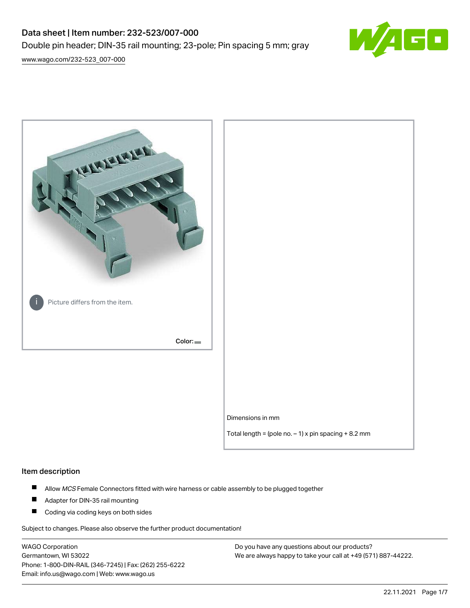# Data sheet | Item number: 232-523/007-000 Double pin header; DIN-35 rail mounting; 23-pole; Pin spacing 5 mm; gray



[www.wago.com/232-523\\_007-000](http://www.wago.com/232-523_007-000)



# Item description

- $\blacksquare$ Allow MCS Female Connectors fitted with wire harness or cable assembly to be plugged together
- $\blacksquare$ Adapter for DIN-35 rail mounting
- $\blacksquare$ Coding via coding keys on both sides

Subject to changes. Please also observe the further product documentation!

WAGO Corporation Germantown, WI 53022 Phone: 1-800-DIN-RAIL (346-7245) | Fax: (262) 255-6222 Email: info.us@wago.com | Web: www.wago.us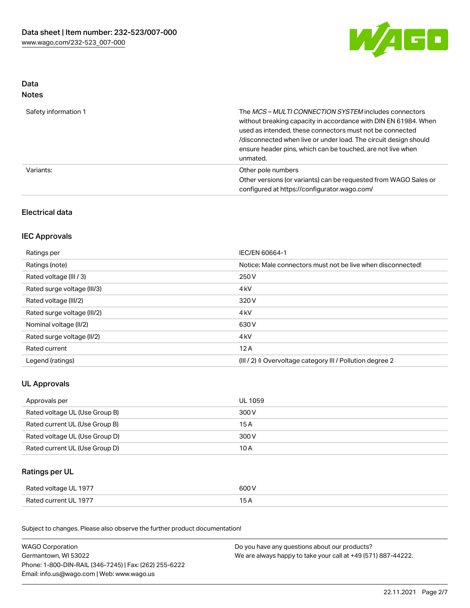

## Data Notes

| Safety information 1 | The <i>MCS – MULTI CONNECTION SYSTEM</i> includes connectors<br>without breaking capacity in accordance with DIN EN 61984. When<br>used as intended, these connectors must not be connected<br>/disconnected when live or under load. The circuit design should<br>ensure header pins, which can be touched, are not live when<br>unmated. |
|----------------------|--------------------------------------------------------------------------------------------------------------------------------------------------------------------------------------------------------------------------------------------------------------------------------------------------------------------------------------------|
| Variants:            | Other pole numbers<br>Other versions (or variants) can be requested from WAGO Sales or<br>configured at https://configurator.wago.com/                                                                                                                                                                                                     |

# Electrical data

# IEC Approvals

| Ratings per                 | IEC/EN 60664-1                                                        |
|-----------------------------|-----------------------------------------------------------------------|
| Ratings (note)              | Notice: Male connectors must not be live when disconnected!           |
| Rated voltage (III / 3)     | 250 V                                                                 |
| Rated surge voltage (III/3) | 4 <sub>k</sub> V                                                      |
| Rated voltage (III/2)       | 320 V                                                                 |
| Rated surge voltage (III/2) | 4 <sub>k</sub> V                                                      |
| Nominal voltage (II/2)      | 630 V                                                                 |
| Rated surge voltage (II/2)  | 4 <sub>k</sub> V                                                      |
| Rated current               | 12A                                                                   |
| Legend (ratings)            | $(III / 2)$ $\triangle$ Overvoltage category III / Pollution degree 2 |

# UL Approvals

| Approvals per                  | UL 1059 |
|--------------------------------|---------|
| Rated voltage UL (Use Group B) | 300 V   |
| Rated current UL (Use Group B) | 15 A    |
| Rated voltage UL (Use Group D) | 300 V   |
| Rated current UL (Use Group D) | 10 A    |

# Ratings per UL

| Rated voltage UL 1977 | 600 V |
|-----------------------|-------|
| Rated current UL 1977 |       |

Subject to changes. Please also observe the further product documentation!

| <b>WAGO Corporation</b>                                | Do you have any questions about our products?                 |
|--------------------------------------------------------|---------------------------------------------------------------|
| Germantown, WI 53022                                   | We are always happy to take your call at +49 (571) 887-44222. |
| Phone: 1-800-DIN-RAIL (346-7245)   Fax: (262) 255-6222 |                                                               |
| Email: info.us@wago.com   Web: www.wago.us             |                                                               |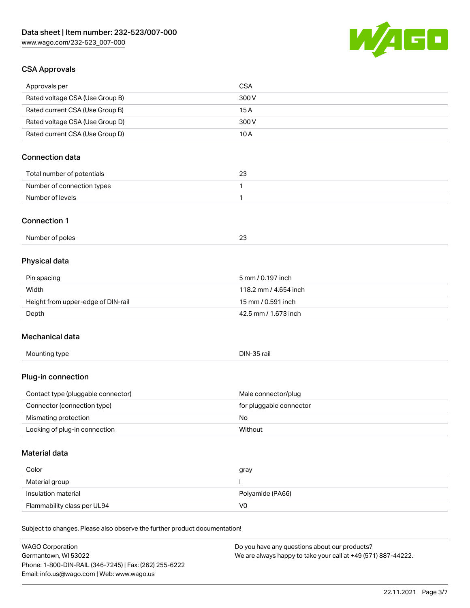

# CSA Approvals

| Approvals per                                                              | <b>CSA</b>              |
|----------------------------------------------------------------------------|-------------------------|
| Rated voltage CSA (Use Group B)                                            | 300 V                   |
| Rated current CSA (Use Group B)                                            | 15A                     |
| Rated voltage CSA (Use Group D)                                            | 300 V                   |
| Rated current CSA (Use Group D)                                            | 10A                     |
|                                                                            |                         |
| <b>Connection data</b>                                                     |                         |
| Total number of potentials                                                 | 23                      |
| Number of connection types                                                 | 1                       |
| Number of levels                                                           | 1                       |
| <b>Connection 1</b>                                                        |                         |
|                                                                            |                         |
| Number of poles                                                            | 23                      |
| Physical data                                                              |                         |
| Pin spacing                                                                | 5 mm / 0.197 inch       |
| Width                                                                      | 118.2 mm / 4.654 inch   |
| Height from upper-edge of DIN-rail                                         | 15 mm / 0.591 inch      |
| Depth                                                                      | 42.5 mm / 1.673 inch    |
| Mechanical data                                                            |                         |
| Mounting type                                                              | DIN-35 rail             |
|                                                                            |                         |
| Plug-in connection                                                         |                         |
| Contact type (pluggable connector)                                         | Male connector/plug     |
| Connector (connection type)                                                | for pluggable connector |
| Mismating protection                                                       | No                      |
| Locking of plug-in connection                                              | Without                 |
| Material data                                                              |                         |
| Color                                                                      | gray                    |
| Material group                                                             | I                       |
| Insulation material                                                        | Polyamide (PA66)        |
| Flammability class per UL94                                                | V <sub>0</sub>          |
|                                                                            |                         |
| Subject to changes. Please also observe the further product documentation! |                         |
| $\mathbf{u}\cdot\mathbf{v}$                                                |                         |

WAGO Corporation Germantown, WI 53022 Phone: 1-800-DIN-RAIL (346-7245) | Fax: (262) 255-6222 Email: info.us@wago.com | Web: www.wago.us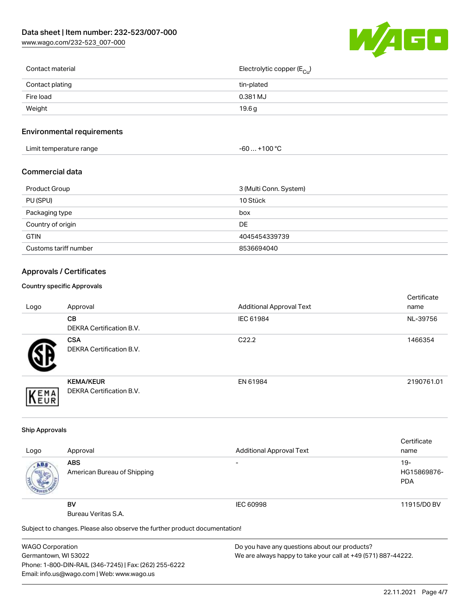[www.wago.com/232-523\\_007-000](http://www.wago.com/232-523_007-000)



| Contact material | Electrolytic copper (E <sub>Cu</sub> ) |
|------------------|----------------------------------------|
| Contact plating  | tin-plated                             |
| Fire load        | 0.381 MJ                               |
| Weight           | 19.6 g                                 |
|                  |                                        |

# Environmental requirements

| Limit temperature range | +100 °C<br>-60 |
|-------------------------|----------------|
|-------------------------|----------------|

## Commercial data

| Product Group         | 3 (Multi Conn. System) |
|-----------------------|------------------------|
| PU (SPU)              | 10 Stück               |
| Packaging type        | box                    |
| Country of origin     | DE                     |
| <b>GTIN</b>           | 4045454339739          |
| Customs tariff number | 8536694040             |

# Approvals / Certificates

#### Country specific Approvals

| Logo | Approval                                            | <b>Additional Approval Text</b> | Certificate<br>name |
|------|-----------------------------------------------------|---------------------------------|---------------------|
|      | CВ<br><b>DEKRA Certification B.V.</b>               | IEC 61984                       | NL-39756            |
|      | <b>CSA</b><br>DEKRA Certification B.V.              | C <sub>22.2</sub>               | 1466354             |
| EMA  | <b>KEMA/KEUR</b><br><b>DEKRA Certification B.V.</b> | EN 61984                        | 2190761.01          |

#### Ship Approvals

|      |                                                                            |                                 | Certificate |
|------|----------------------------------------------------------------------------|---------------------------------|-------------|
| Logo | Approval                                                                   | <b>Additional Approval Text</b> | name        |
| ABS. | <b>ABS</b>                                                                 |                                 | $19-$       |
|      | American Bureau of Shipping                                                |                                 | HG15869876- |
|      |                                                                            |                                 | <b>PDA</b>  |
|      |                                                                            |                                 |             |
|      | <b>BV</b>                                                                  | IEC 60998                       | 11915/D0 BV |
|      | Bureau Veritas S.A.                                                        |                                 |             |
|      | Subject to changes. Please also observe the further product documentation! |                                 |             |

WAGO Corporation Germantown, WI 53022 Phone: 1-800-DIN-RAIL (346-7245) | Fax: (262) 255-6222 Email: info.us@wago.com | Web: www.wago.us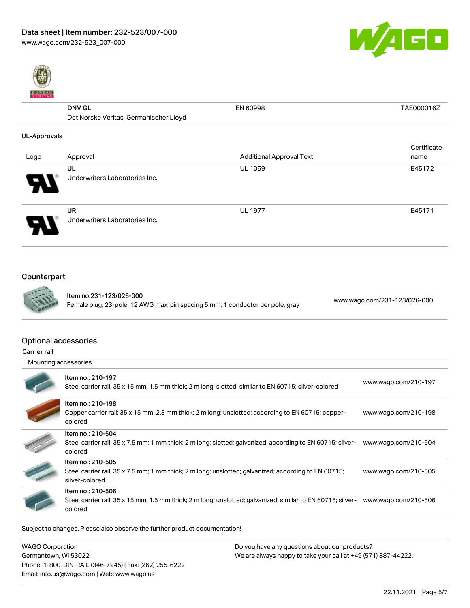



|              | <b>DNV GL</b>                          | EN 60998                        | TAE000016Z  |
|--------------|----------------------------------------|---------------------------------|-------------|
|              | Det Norske Veritas, Germanischer Lloyd |                                 |             |
| UL-Approvals |                                        |                                 |             |
|              |                                        |                                 | Certificate |
| Logo         | Approval                               | <b>Additional Approval Text</b> | name        |
|              | UL                                     | <b>UL 1059</b>                  | E45172      |
|              | Underwriters Laboratories Inc.         |                                 |             |
|              | <b>UR</b>                              | <b>UL 1977</b>                  | E45171      |
|              | Underwriters Laboratories Inc.         |                                 |             |

# Counterpart



Item no.231-123/026-000 Female plug; 23-pole; 12 AWG max; pin spacing 5 mm; 1 conductor per pole; gray [www.wago.com/231-123/026-000](https://www.wago.com/231-123/026-000)

## Optional accessories

Carrier rail

| Mounting accessories |  |
|----------------------|--|
|----------------------|--|

| Item no.: 210-197<br>Steel carrier rail; 35 x 15 mm; 1.5 mm thick; 2 m long; slotted; similar to EN 60715; silver-colored                   | www.wago.com/210-197 |
|---------------------------------------------------------------------------------------------------------------------------------------------|----------------------|
| Item no.: 210-198<br>Copper carrier rail; 35 x 15 mm; 2.3 mm thick; 2 m long; unslotted; according to EN 60715; copper-<br>colored          | www.wago.com/210-198 |
| Item no.: 210-504<br>Steel carrier rail; 35 x 7.5 mm; 1 mm thick; 2 m long; slotted; galvanized; according to EN 60715; silver-<br>colored  | www.wago.com/210-504 |
| Item no.: 210-505<br>Steel carrier rail; 35 x 7.5 mm; 1 mm thick; 2 m long; unslotted; galvanized; according to EN 60715;<br>silver-colored | www.wago.com/210-505 |
| Item no.: 210-506<br>Steel carrier rail; 35 x 15 mm; 1.5 mm thick; 2 m long; unslotted; galvanized; similar to EN 60715; silver-<br>colored | www.wago.com/210-506 |

Subject to changes. Please also observe the further product documentation!

| WAGO Corporation                                       | Do you have any questions about our products?                 |
|--------------------------------------------------------|---------------------------------------------------------------|
| Germantown, WI 53022                                   | We are always happy to take your call at +49 (571) 887-44222. |
| Phone: 1-800-DIN-RAIL (346-7245)   Fax: (262) 255-6222 |                                                               |
| Email: info.us@wago.com   Web: www.wago.us             |                                                               |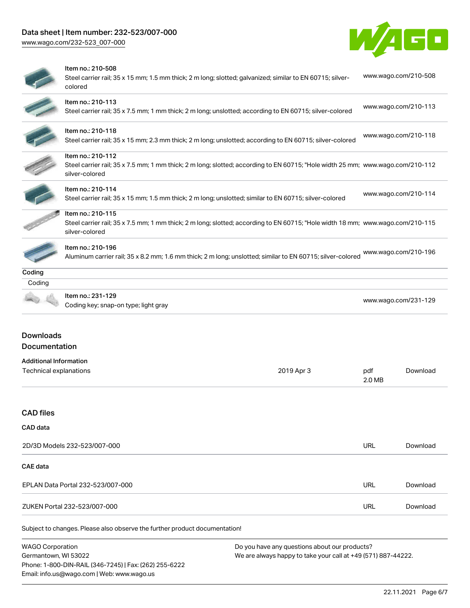# Data sheet | Item number: 232-523/007-000

Phone: 1-800-DIN-RAIL (346-7245) | Fax: (262) 255-6222

Email: info.us@wago.com | Web: www.wago.us

[www.wago.com/232-523\\_007-000](http://www.wago.com/232-523_007-000)



|                                                         | Item no.: 210-508<br>Steel carrier rail; 35 x 15 mm; 1.5 mm thick; 2 m long; slotted; galvanized; similar to EN 60715; silver-<br>colored                             |                                                                                                                |               | www.wago.com/210-508 |
|---------------------------------------------------------|-----------------------------------------------------------------------------------------------------------------------------------------------------------------------|----------------------------------------------------------------------------------------------------------------|---------------|----------------------|
|                                                         | Item no.: 210-113<br>Steel carrier rail; 35 x 7.5 mm; 1 mm thick; 2 m long; unslotted; according to EN 60715; silver-colored                                          |                                                                                                                |               | www.wago.com/210-113 |
|                                                         | Item no.: 210-118<br>Steel carrier rail; 35 x 15 mm; 2.3 mm thick; 2 m long; unslotted; according to EN 60715; silver-colored                                         |                                                                                                                |               | www.wago.com/210-118 |
|                                                         | Item no.: 210-112<br>Steel carrier rail; 35 x 7.5 mm; 1 mm thick; 2 m long; slotted; according to EN 60715; "Hole width 25 mm; www.wago.com/210-112<br>silver-colored |                                                                                                                |               |                      |
|                                                         | Item no.: 210-114<br>Steel carrier rail; 35 x 15 mm; 1.5 mm thick; 2 m long; unslotted; similar to EN 60715; silver-colored                                           |                                                                                                                |               | www.wago.com/210-114 |
|                                                         | Item no.: 210-115<br>Steel carrier rail; 35 x 7.5 mm; 1 mm thick; 2 m long; slotted; according to EN 60715; "Hole width 18 mm; www.wago.com/210-115<br>silver-colored |                                                                                                                |               |                      |
|                                                         | Item no.: 210-196<br>Aluminum carrier rail; 35 x 8.2 mm; 1.6 mm thick; 2 m long; unslotted; similar to EN 60715; silver-colored                                       |                                                                                                                |               | www.wago.com/210-196 |
| Coding                                                  |                                                                                                                                                                       |                                                                                                                |               |                      |
| Coding                                                  | Item no.: 231-129<br>Coding key; snap-on type; light gray                                                                                                             |                                                                                                                |               | www.wago.com/231-129 |
| <b>Downloads</b><br>Documentation                       |                                                                                                                                                                       |                                                                                                                |               |                      |
| <b>Additional Information</b><br>Technical explanations |                                                                                                                                                                       | 2019 Apr 3                                                                                                     | pdf<br>2.0 MB | Download             |
| <b>CAD files</b>                                        |                                                                                                                                                                       |                                                                                                                |               |                      |
| CAD data                                                |                                                                                                                                                                       |                                                                                                                |               |                      |
|                                                         | 2D/3D Models 232-523/007-000                                                                                                                                          |                                                                                                                | <b>URL</b>    | Download             |
| <b>CAE</b> data                                         |                                                                                                                                                                       |                                                                                                                |               |                      |
|                                                         | EPLAN Data Portal 232-523/007-000                                                                                                                                     |                                                                                                                | <b>URL</b>    | Download             |
|                                                         | ZUKEN Portal 232-523/007-000                                                                                                                                          |                                                                                                                | <b>URL</b>    | Download             |
|                                                         | Subject to changes. Please also observe the further product documentation!                                                                                            |                                                                                                                |               |                      |
| <b>WAGO Corporation</b><br>Germantown, WI 53022         |                                                                                                                                                                       | Do you have any questions about our products?<br>We are always happy to take your call at +49 (571) 887-44222. |               |                      |